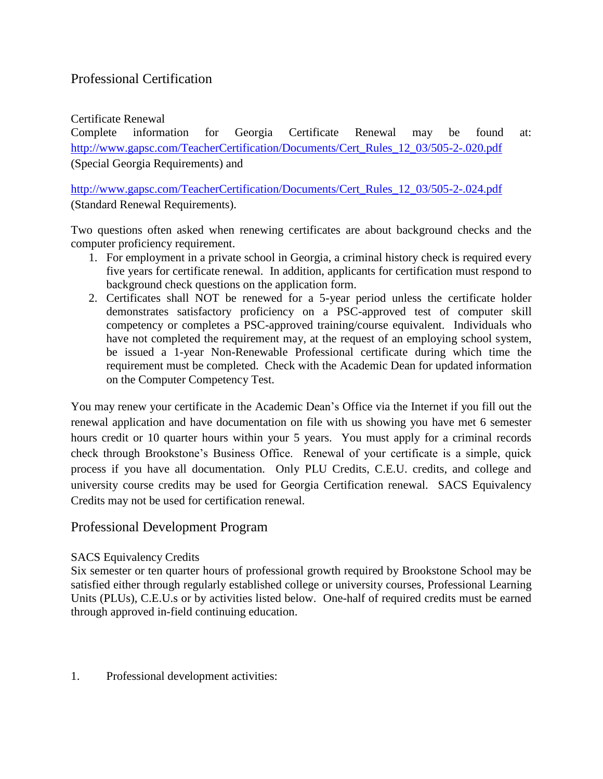# Professional Certification

#### Certificate Renewal

Complete information for Georgia Certificate Renewal may be found at: [http://www.gapsc.com/TeacherCertification/Documents/Cert\\_Rules\\_12\\_03/505-2-.020.pdf](http://www.gapsc.com/TeacherCertification/Documents/Cert_Rules_12_03/505-2-.020.pdf) (Special Georgia Requirements) and

[http://www.gapsc.com/TeacherCertification/Documents/Cert\\_Rules\\_12\\_03/505-2-.024.pdf](http://www.gapsc.com/TeacherCertification/Documents/Cert_Rules_12_03/505-2-.024.pdf)  (Standard Renewal Requirements).

Two questions often asked when renewing certificates are about background checks and the computer proficiency requirement.

- 1. For employment in a private school in Georgia, a criminal history check is required every five years for certificate renewal. In addition, applicants for certification must respond to background check questions on the application form.
- 2. Certificates shall NOT be renewed for a 5-year period unless the certificate holder demonstrates satisfactory proficiency on a PSC-approved test of computer skill competency or completes a PSC-approved training/course equivalent. Individuals who have not completed the requirement may, at the request of an employing school system, be issued a 1-year Non-Renewable Professional certificate during which time the requirement must be completed. Check with the Academic Dean for updated information on the Computer Competency Test.

You may renew your certificate in the Academic Dean's Office via the Internet if you fill out the renewal application and have documentation on file with us showing you have met 6 semester hours credit or 10 quarter hours within your 5 years. You must apply for a criminal records check through Brookstone's Business Office. Renewal of your certificate is a simple, quick process if you have all documentation. Only PLU Credits, C.E.U. credits, and college and university course credits may be used for Georgia Certification renewal. SACS Equivalency Credits may not be used for certification renewal.

## Professional Development Program

### SACS Equivalency Credits

Six semester or ten quarter hours of professional growth required by Brookstone School may be satisfied either through regularly established college or university courses, Professional Learning Units (PLUs), C.E.U.s or by activities listed below. One-half of required credits must be earned through approved in-field continuing education.

1. Professional development activities: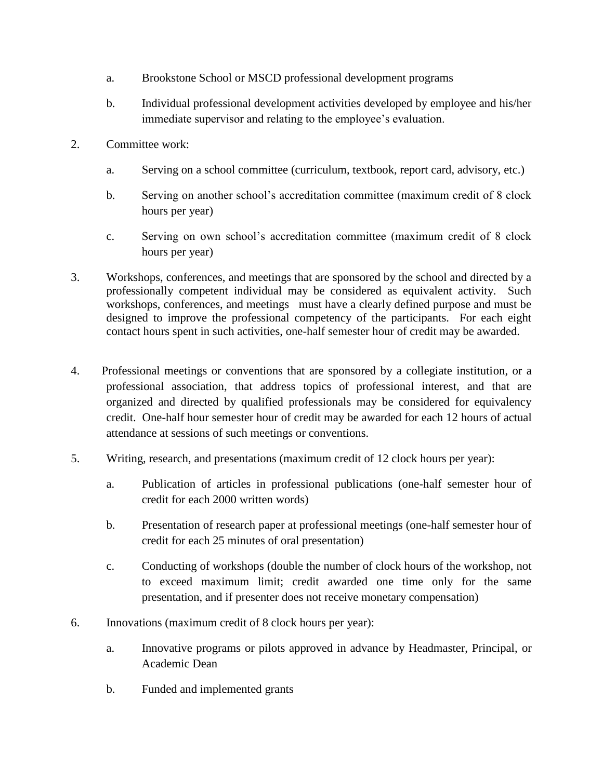- a. Brookstone School or MSCD professional development programs
- b. Individual professional development activities developed by employee and his/her immediate supervisor and relating to the employee's evaluation.
- 2. Committee work:
	- a. Serving on a school committee (curriculum, textbook, report card, advisory, etc.)
	- b. Serving on another school's accreditation committee (maximum credit of 8 clock hours per year)
	- c. Serving on own school's accreditation committee (maximum credit of 8 clock hours per year)
- 3. Workshops, conferences, and meetings that are sponsored by the school and directed by a professionally competent individual may be considered as equivalent activity. Such workshops, conferences, and meetings must have a clearly defined purpose and must be designed to improve the professional competency of the participants. For each eight contact hours spent in such activities, one-half semester hour of credit may be awarded.
- 4. Professional meetings or conventions that are sponsored by a collegiate institution, or a professional association, that address topics of professional interest, and that are organized and directed by qualified professionals may be considered for equivalency credit. One-half hour semester hour of credit may be awarded for each 12 hours of actual attendance at sessions of such meetings or conventions.
- 5. Writing, research, and presentations (maximum credit of 12 clock hours per year):
	- a. Publication of articles in professional publications (one-half semester hour of credit for each 2000 written words)
	- b. Presentation of research paper at professional meetings (one-half semester hour of credit for each 25 minutes of oral presentation)
	- c. Conducting of workshops (double the number of clock hours of the workshop, not to exceed maximum limit; credit awarded one time only for the same presentation, and if presenter does not receive monetary compensation)
- 6. Innovations (maximum credit of 8 clock hours per year):
	- a. Innovative programs or pilots approved in advance by Headmaster, Principal, or Academic Dean
	- b. Funded and implemented grants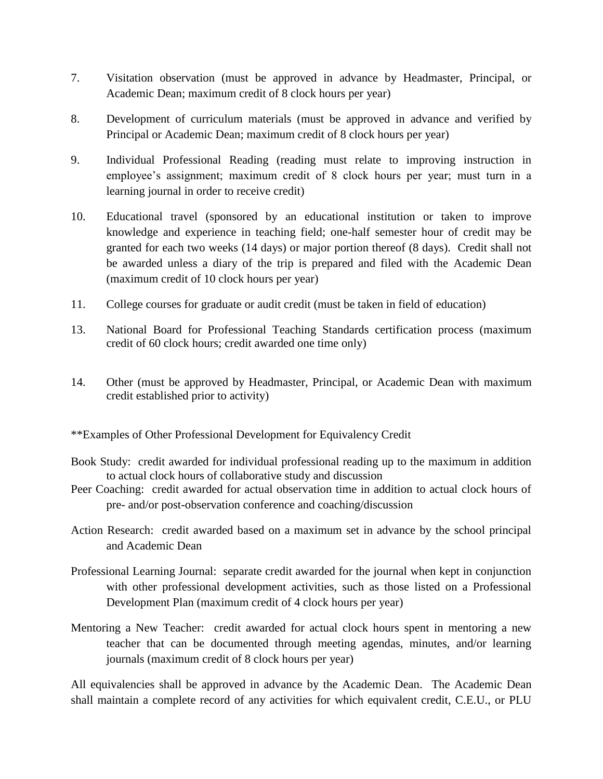- 7. Visitation observation (must be approved in advance by Headmaster, Principal, or Academic Dean; maximum credit of 8 clock hours per year)
- 8. Development of curriculum materials (must be approved in advance and verified by Principal or Academic Dean; maximum credit of 8 clock hours per year)
- 9. Individual Professional Reading (reading must relate to improving instruction in employee's assignment; maximum credit of 8 clock hours per year; must turn in a learning journal in order to receive credit)
- 10. Educational travel (sponsored by an educational institution or taken to improve knowledge and experience in teaching field; one-half semester hour of credit may be granted for each two weeks (14 days) or major portion thereof (8 days). Credit shall not be awarded unless a diary of the trip is prepared and filed with the Academic Dean (maximum credit of 10 clock hours per year)
- 11. College courses for graduate or audit credit (must be taken in field of education)
- 13. National Board for Professional Teaching Standards certification process (maximum credit of 60 clock hours; credit awarded one time only)
- 14. Other (must be approved by Headmaster, Principal, or Academic Dean with maximum credit established prior to activity)
- \*\*Examples of Other Professional Development for Equivalency Credit
- Book Study: credit awarded for individual professional reading up to the maximum in addition to actual clock hours of collaborative study and discussion
- Peer Coaching: credit awarded for actual observation time in addition to actual clock hours of pre- and/or post-observation conference and coaching/discussion
- Action Research: credit awarded based on a maximum set in advance by the school principal and Academic Dean
- Professional Learning Journal: separate credit awarded for the journal when kept in conjunction with other professional development activities, such as those listed on a Professional Development Plan (maximum credit of 4 clock hours per year)
- Mentoring a New Teacher: credit awarded for actual clock hours spent in mentoring a new teacher that can be documented through meeting agendas, minutes, and/or learning journals (maximum credit of 8 clock hours per year)

All equivalencies shall be approved in advance by the Academic Dean. The Academic Dean shall maintain a complete record of any activities for which equivalent credit, C.E.U., or PLU